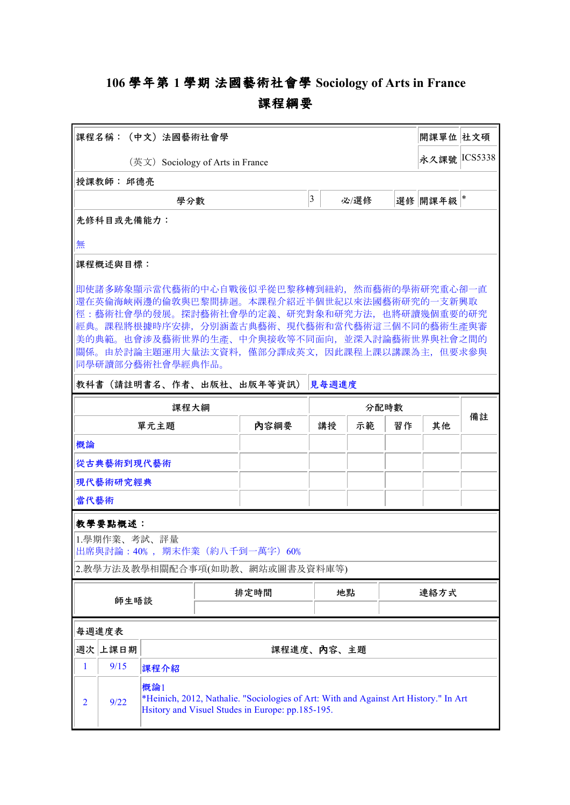## **106 學年第 1 學期 法國藝術社會學 Sociology of Arts in France 課程綱要**

| 課程名稱:(中文)法國藝術社會學                                                                                                                                                                                                                                                                                                                                    |                                                                                                                                                         |      |                |  |      |    |         | 開課單位 社文碩 |              |  |
|-----------------------------------------------------------------------------------------------------------------------------------------------------------------------------------------------------------------------------------------------------------------------------------------------------------------------------------------------------|---------------------------------------------------------------------------------------------------------------------------------------------------------|------|----------------|--|------|----|---------|----------|--------------|--|
| (英文) Sociology of Arts in France                                                                                                                                                                                                                                                                                                                    |                                                                                                                                                         |      |                |  |      |    |         |          | 永久課號 ICS5338 |  |
|                                                                                                                                                                                                                                                                                                                                                     | 授課教師: 邱德亮                                                                                                                                               |      |                |  |      |    |         |          |              |  |
|                                                                                                                                                                                                                                                                                                                                                     |                                                                                                                                                         | 學分數  | $\overline{3}$ |  | 必/選修 |    | 選修 開課年級 | *        |              |  |
|                                                                                                                                                                                                                                                                                                                                                     | 先修科目或先備能力:                                                                                                                                              |      |                |  |      |    |         |          |              |  |
| 無                                                                                                                                                                                                                                                                                                                                                   |                                                                                                                                                         |      |                |  |      |    |         |          |              |  |
| 課程概述與目標:                                                                                                                                                                                                                                                                                                                                            |                                                                                                                                                         |      |                |  |      |    |         |          |              |  |
| 即使諸多跡象顯示當代藝術的中心自戰後似乎從巴黎移轉到紐約,然而藝術的學術研究重心卻一直<br> 還在英倫海峽兩邊的倫敦與巴黎間排迴。本課程介紹近半個世紀以來法國藝術研究的一支新興取<br> 徑:藝術社會學的發展。探討藝術社會學的定義、研究對象和研究方法,也將研讀幾個重要的研究<br> 經典。課程將根據時序安排,分別涵蓋古典藝術、現代藝術和當代藝術這三個不同的藝術生產與審<br>美的典範。也會涉及藝術世界的生產、中介與接收等不同面向,並深入討論藝術世界與社會之間的<br>關係。由於討論主題運用大量法文資料,僅部分譯成英文,因此課程上課以講課為主,但要求參與<br> 同學研讀部分藝術社會學經典作品。<br> 教科書(請註明書名、作者、出版社、出版年等資訊)<br>見每週進度 |                                                                                                                                                         |      |                |  |      |    |         |          |              |  |
|                                                                                                                                                                                                                                                                                                                                                     | 課程大綱                                                                                                                                                    |      |                |  | 分配時數 |    |         |          |              |  |
| 單元主題                                                                                                                                                                                                                                                                                                                                                |                                                                                                                                                         |      | 内容綱要           |  | 講授   | 示範 | 習作      | 其他       | 備註           |  |
| 概論                                                                                                                                                                                                                                                                                                                                                  |                                                                                                                                                         |      |                |  |      |    |         |          |              |  |
| 從古典藝術到現代藝術                                                                                                                                                                                                                                                                                                                                          |                                                                                                                                                         |      |                |  |      |    |         |          |              |  |
| 現代藝術研究經典                                                                                                                                                                                                                                                                                                                                            |                                                                                                                                                         |      |                |  |      |    |         |          |              |  |
| 當代藝術                                                                                                                                                                                                                                                                                                                                                |                                                                                                                                                         |      |                |  |      |    |         |          |              |  |
| 教學要點概述:<br>1.學期作業、考試、評量<br> 出席與討論:40% ,期末作業(約八千到一萬字)60%<br>2.教學方法及教學相關配合事項(如助教、網站或圖書及資料庫等)                                                                                                                                                                                                                                                          |                                                                                                                                                         |      |                |  |      |    |         |          |              |  |
| 師生晤談                                                                                                                                                                                                                                                                                                                                                |                                                                                                                                                         |      | 排定時間           |  |      | 地點 |         | 連絡方式     |              |  |
|                                                                                                                                                                                                                                                                                                                                                     | 每週進度表                                                                                                                                                   |      |                |  |      |    |         |          |              |  |
|                                                                                                                                                                                                                                                                                                                                                     | 週次 上課日期                                                                                                                                                 |      | 課程進度、內容、主題     |  |      |    |         |          |              |  |
| 1                                                                                                                                                                                                                                                                                                                                                   | 9/15                                                                                                                                                    | 課程介紹 |                |  |      |    |         |          |              |  |
| $\overline{2}$                                                                                                                                                                                                                                                                                                                                      | 概論1<br>*Heinich, 2012, Nathalie. "Sociologies of Art: With and Against Art History." In Art<br>9/22<br>Hsitory and Visuel Studes in Europe: pp.185-195. |      |                |  |      |    |         |          |              |  |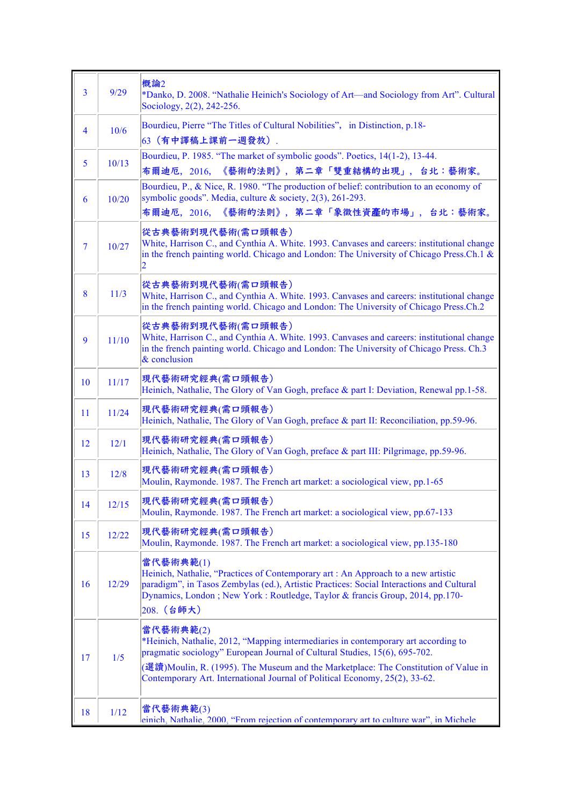| $\overline{3}$           | 9/29  | 概論2<br>*Danko, D. 2008. "Nathalie Heinich's Sociology of Art—and Sociology from Art". Cultural<br>Sociology, 2(2), 242-256.                                                                                                                                                                                                                         |
|--------------------------|-------|-----------------------------------------------------------------------------------------------------------------------------------------------------------------------------------------------------------------------------------------------------------------------------------------------------------------------------------------------------|
| $\overline{4}$           | 10/6  | Bourdieu, Pierre "The Titles of Cultural Nobilities", in Distinction, p.18-<br>63 (有中譯稿上課前一週發放).                                                                                                                                                                                                                                                    |
| 5                        | 10/13 | Bourdieu, P. 1985. "The market of symbolic goods". Poetics, 14(1-2), 13-44.<br>《藝術的法則》,第二章「雙重結構的出現」,台北:藝術家。<br>布爾迪厄, 2016,                                                                                                                                                                                                                          |
| 6                        | 10/20 | Bourdieu, P., & Nice, R. 1980. "The production of belief: contribution to an economy of<br>symbolic goods". Media, culture & society, 2(3), 261-293.<br>布爾迪厄, 2016, 《藝術的法則》, 第二章「象徵性資產的市場」, 台北:藝術家。                                                                                                                                                 |
| $\overline{\mathcal{L}}$ | 10/27 | 從古典藝術到現代藝術(需口頭報告)<br>White, Harrison C., and Cynthia A. White. 1993. Canvases and careers: institutional change<br>in the french painting world. Chicago and London: The University of Chicago Press.Ch.1 $\&$<br>2                                                                                                                                 |
| 8                        | 11/3  | 從古典藝術到現代藝術(需口頭報告)<br>White, Harrison C., and Cynthia A. White. 1993. Canvases and careers: institutional change<br>in the french painting world. Chicago and London: The University of Chicago Press.Ch.2                                                                                                                                           |
| 9                        | 11/10 | 從古典藝術到現代藝術(需口頭報告)<br>White, Harrison C., and Cynthia A. White. 1993. Canvases and careers: institutional change<br>in the french painting world. Chicago and London: The University of Chicago Press. Ch.3<br>& conclusion                                                                                                                          |
| 10                       | 11/17 | 現代藝術研究經典(需口頭報告)<br>Heinich, Nathalie, The Glory of Van Gogh, preface & part I: Deviation, Renewal pp.1-58.                                                                                                                                                                                                                                          |
| 11                       | 11/24 | 現代藝術研究經典(需口頭報告)<br>Heinich, Nathalie, The Glory of Van Gogh, preface & part II: Reconciliation, pp.59-96.                                                                                                                                                                                                                                           |
| 12                       | 12/1  | 現代藝術研究經典(需口頭報告)<br>Heinich, Nathalie, The Glory of Van Gogh, preface & part III: Pilgrimage, pp.59-96.                                                                                                                                                                                                                                              |
| 13                       | 12/8  | 現代藝術研究經典(需口頭報告)<br>Moulin, Raymonde. 1987. The French art market: a sociological view, pp.1-65                                                                                                                                                                                                                                                      |
| 14                       | 12/15 | 現代藝術研究經典(需口頭報告)<br>Moulin, Raymonde. 1987. The French art market: a sociological view, pp.67-133                                                                                                                                                                                                                                                    |
| 15                       | 12/22 | 現代藝術研究經典(需口頭報告)<br>Moulin, Raymonde. 1987. The French art market: a sociological view, pp.135-180                                                                                                                                                                                                                                                   |
| 16                       | 12/29 | 當代藝術典範(1)<br>Heinich, Nathalie, "Practices of Contemporary art : An Approach to a new artistic<br>paradigm", in Tasos Zembylas (ed.), Artistic Practices: Social Interactions and Cultural<br>Dynamics, London; New York: Routledge, Taylor & francis Group, 2014, pp.170-<br>208. (台師大)                                                            |
| 17                       | 1/5   | 當代藝術典範(2)<br>*Heinich, Nathalie, 2012, "Mapping intermediaries in contemporary art according to<br>pragmatic sociology" European Journal of Cultural Studies, 15(6), 695-702.<br>(選讀)Moulin, R. (1995). The Museum and the Marketplace: The Constitution of Value in<br>Contemporary Art. International Journal of Political Economy, 25(2), 33-62. |
| 18                       | 1/12  | 當代藝術典範(3)<br>einich, Nathalie, 2000, "From rejection of contemporary art to culture war", in Michele                                                                                                                                                                                                                                                |